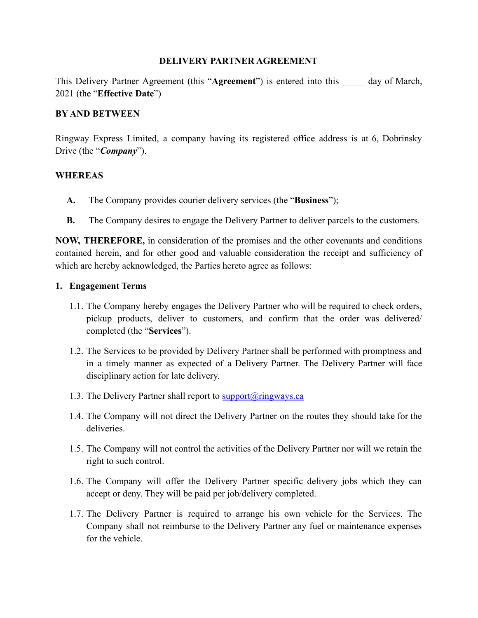#### **DELIVERY PARTNER AGREEMENT**

This Delivery Partner Agreement (this "**Agreement**") is entered into this \_\_\_\_\_ day of March, 2021 (the "**Effective Date**")

#### **BY AND BETWEEN**

Ringway Express Limited, a company having its registered office address is at 6, Dobrinsky Drive (the "*Company*").

#### **WHEREAS**

- **A.** The Company provides courier delivery services (the "**Business**");
- **B.** The Company desires to engage the Delivery Partner to deliver parcels to the customers.

**NOW, THEREFORE,** in consideration of the promises and the other covenants and conditions contained herein, and for other good and valuable consideration the receipt and sufficiency of which are hereby acknowledged, the Parties hereto agree as follows:

#### **1. Engagement Terms**

- 1.1. The Company hereby engages the Delivery Partner who will be required to check orders, pickup products, deliver to customers, and confirm that the order was delivered/ completed (the "**Services**").
- 1.2. The Services to be provided by Delivery Partner shall be performed with promptness and in a timely manner as expected of a Delivery Partner. The Delivery Partner will face disciplinary action for late delivery.
- 1.3. The Delivery Partner shall report to [support@ringways.ca](mailto:support@ringways.ca)
- 1.4. The Company will not direct the Delivery Partner on the routes they should take for the deliveries.
- 1.5. The Company will not control the activities of the Delivery Partner nor will we retain the right to such control.
- 1.6. The Company will offer the Delivery Partner specific delivery jobs which they can accept or deny. They will be paid per job/delivery completed.
- 1.7. The Delivery Partner is required to arrange his own vehicle for the Services. The Company shall not reimburse to the Delivery Partner any fuel or maintenance expenses for the vehicle.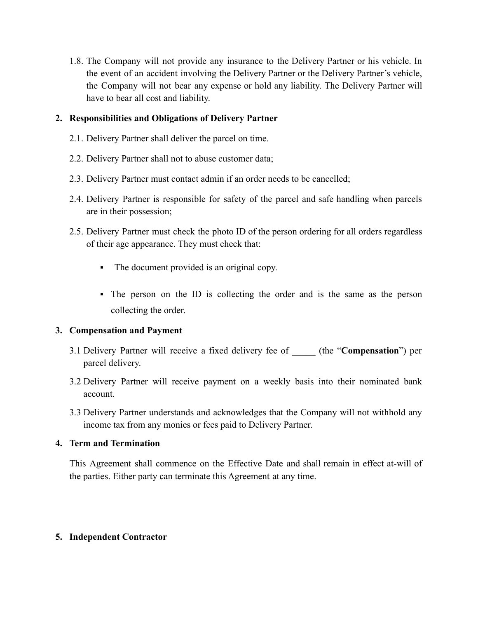1.8. The Company will not provide any insurance to the Delivery Partner or his vehicle. In the event of an accident involving the Delivery Partner or the Delivery Partner's vehicle, the Company will not bear any expense or hold any liability. The Delivery Partner will have to bear all cost and liability.

# **2. Responsibilities and Obligations of Delivery Partner**

- 2.1. Delivery Partner shall deliver the parcel on time.
- 2.2. Delivery Partner shall not to abuse customer data;
- 2.3. Delivery Partner must contact admin if an order needs to be cancelled;
- 2.4. Delivery Partner is responsible for safety of the parcel and safe handling when parcels are in their possession;
- 2.5. Delivery Partner must check the photo ID of the person ordering for all orders regardless of their age appearance. They must check that:
	- The document provided is an original copy.
	- The person on the ID is collecting the order and is the same as the person collecting the order.

# **3. Compensation and Payment**

- 3.1 Delivery Partner will receive a fixed delivery fee of \_\_\_\_\_ (the "**Compensation**") per parcel delivery.
- 3.2 Delivery Partner will receive payment on a weekly basis into their nominated bank account.
- 3.3 Delivery Partner understands and acknowledges that the Company will not withhold any income tax from any monies or fees paid to Delivery Partner.

# **4. Term and Termination**

This Agreement shall commence on the Effective Date and shall remain in effect at-will of the parties. Either party can terminate this Agreement at any time.

# **5. Independent Contractor**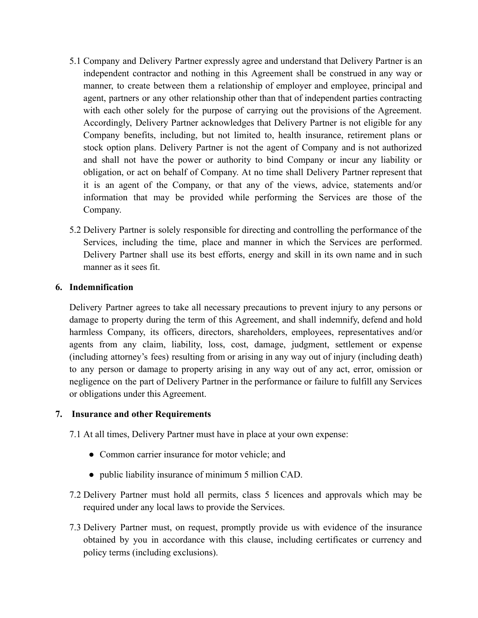- 5.1 Company and Delivery Partner expressly agree and understand that Delivery Partner is an independent contractor and nothing in this Agreement shall be construed in any way or manner, to create between them a relationship of employer and employee, principal and agent, partners or any other relationship other than that of independent parties contracting with each other solely for the purpose of carrying out the provisions of the Agreement. Accordingly, Delivery Partner acknowledges that Delivery Partner is not eligible for any Company benefits, including, but not limited to, health insurance, retirement plans or stock option plans. Delivery Partner is not the agent of Company and is not authorized and shall not have the power or authority to bind Company or incur any liability or obligation, or act on behalf of Company. At no time shall Delivery Partner represent that it is an agent of the Company, or that any of the views, advice, statements and/or information that may be provided while performing the Services are those of the Company.
- 5.2 Delivery Partner is solely responsible for directing and controlling the performance of the Services, including the time, place and manner in which the Services are performed. Delivery Partner shall use its best efforts, energy and skill in its own name and in such manner as it sees fit.

# **6. Indemnification**

Delivery Partner agrees to take all necessary precautions to prevent injury to any persons or damage to property during the term of this Agreement, and shall indemnify, defend and hold harmless Company, its officers, directors, shareholders, employees, representatives and/or agents from any claim, liability, loss, cost, damage, judgment, settlement or expense (including attorney's fees) resulting from or arising in any way out of injury (including death) to any person or damage to property arising in any way out of any act, error, omission or negligence on the part of Delivery Partner in the performance or failure to fulfill any Services or obligations under this Agreement.

#### **7. Insurance and other Requirements**

7.1 At all times, Delivery Partner must have in place at your own expense:

- Common carrier insurance for motor vehicle; and
- public liability insurance of minimum 5 million CAD.
- 7.2 Delivery Partner must hold all permits, class 5 licences and approvals which may be required under any local laws to provide the Services.
- 7.3 Delivery Partner must, on request, promptly provide us with evidence of the insurance obtained by you in accordance with this clause, including certificates or currency and policy terms (including exclusions).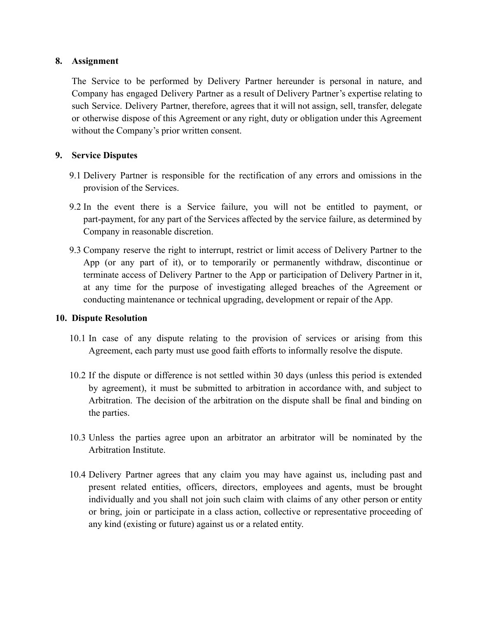#### **8. Assignment**

The Service to be performed by Delivery Partner hereunder is personal in nature, and Company has engaged Delivery Partner as a result of Delivery Partner's expertise relating to such Service. Delivery Partner, therefore, agrees that it will not assign, sell, transfer, delegate or otherwise dispose of this Agreement or any right, duty or obligation under this Agreement without the Company's prior written consent.

# **9. Service Disputes**

- 9.1 Delivery Partner is responsible for the rectification of any errors and omissions in the provision of the Services.
- 9.2 In the event there is a Service failure, you will not be entitled to payment, or part-payment, for any part of the Services affected by the service failure, as determined by Company in reasonable discretion.
- 9.3 Company reserve the right to interrupt, restrict or limit access of Delivery Partner to the App (or any part of it), or to temporarily or permanently withdraw, discontinue or terminate access of Delivery Partner to the App or participation of Delivery Partner in it, at any time for the purpose of investigating alleged breaches of the Agreement or conducting maintenance or technical upgrading, development or repair of the App.

# **10. Dispute Resolution**

- 10.1 In case of any dispute relating to the provision of services or arising from this Agreement, each party must use good faith efforts to informally resolve the dispute.
- 10.2 If the dispute or difference is not settled within 30 days (unless this period is extended by agreement), it must be submitted to arbitration in accordance with, and subject to Arbitration. The decision of the arbitration on the dispute shall be final and binding on the parties.
- 10.3 Unless the parties agree upon an arbitrator an arbitrator will be nominated by the Arbitration Institute.
- 10.4 Delivery Partner agrees that any claim you may have against us, including past and present related entities, officers, directors, employees and agents, must be brought individually and you shall not join such claim with claims of any other person or entity or bring, join or participate in a class action, collective or representative proceeding of any kind (existing or future) against us or a related entity.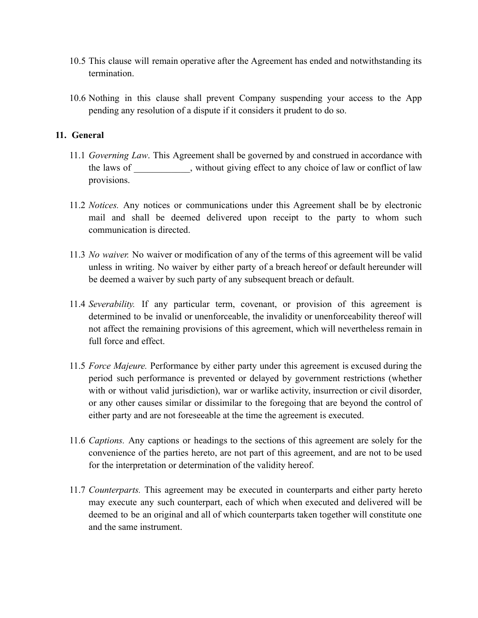- 10.5 This clause will remain operative after the Agreement has ended and notwithstanding its termination.
- 10.6 Nothing in this clause shall prevent Company suspending your access to the App pending any resolution of a dispute if it considers it prudent to do so.

# **11. General**

- 11.1 *Governing Law*. This Agreement shall be governed by and construed in accordance with the laws of without giving effect to any choice of law or conflict of law provisions.
- 11.2 *Notices.* Any notices or communications under this Agreement shall be by electronic mail and shall be deemed delivered upon receipt to the party to whom such communication is directed.
- 11.3 *No waiver.* No waiver or modification of any of the terms of this agreement will be valid unless in writing. No waiver by either party of a breach hereof or default hereunder will be deemed a waiver by such party of any subsequent breach or default.
- 11.4 *Severability.* If any particular term, covenant, or provision of this agreement is determined to be invalid or unenforceable, the invalidity or unenforceability thereof will not affect the remaining provisions of this agreement, which will nevertheless remain in full force and effect.
- 11.5 *Force Majeure.* Performance by either party under this agreement is excused during the period such performance is prevented or delayed by government restrictions (whether with or without valid jurisdiction), war or warlike activity, insurrection or civil disorder, or any other causes similar or dissimilar to the foregoing that are beyond the control of either party and are not foreseeable at the time the agreement is executed.
- 11.6 *Captions.* Any captions or headings to the sections of this agreement are solely for the convenience of the parties hereto, are not part of this agreement, and are not to be used for the interpretation or determination of the validity hereof.
- 11.7 *Counterparts.* This agreement may be executed in counterparts and either party hereto may execute any such counterpart, each of which when executed and delivered will be deemed to be an original and all of which counterparts taken together will constitute one and the same instrument.